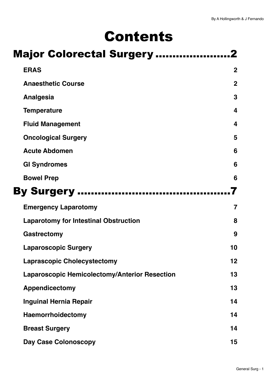# Contents

| <b>Major Colorectal Surgery </b>                     |                         |  |
|------------------------------------------------------|-------------------------|--|
| <b>ERAS</b>                                          | $\mathbf{2}$            |  |
| <b>Anaesthetic Course</b>                            | $\mathbf{2}$            |  |
| <b>Analgesia</b>                                     | 3                       |  |
| <b>Temperature</b>                                   | $\overline{\mathbf{4}}$ |  |
| <b>Fluid Management</b>                              | 4                       |  |
| <b>Oncological Surgery</b>                           | 5                       |  |
| <b>Acute Abdomen</b>                                 | 6                       |  |
| <b>GI Syndromes</b>                                  | 6                       |  |
| <b>Bowel Prep</b>                                    | 6                       |  |
| <b>By Surgery </b>                                   |                         |  |
| <b>Emergency Laparotomy</b>                          | 7                       |  |
| <b>Laparotomy for Intestinal Obstruction</b>         | 8                       |  |
| Gastrectomy                                          | 9                       |  |
| <b>Laparoscopic Surgery</b>                          | 10                      |  |
| <b>Laprascopic Cholecystectomy</b>                   | $12 \overline{ }$       |  |
| <b>Laparoscopic Hemicolectomy/Anterior Resection</b> | 13                      |  |
| <b>Appendicectomy</b>                                | 13                      |  |
| <b>Inguinal Hernia Repair</b>                        | 14                      |  |
| <b>Haemorrhoidectomy</b>                             | 14                      |  |
| <b>Breast Surgery</b>                                | 14                      |  |
| <b>Day Case Colonoscopy</b>                          | 15                      |  |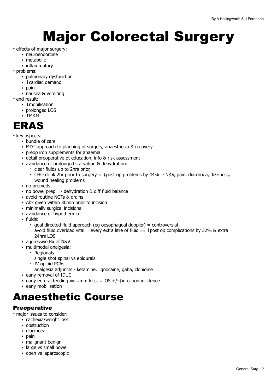# <span id="page-1-0"></span>Major Colorectal Surgery

- effects of major surgery:

- ‣ neuroendorcine
- ‣ metabolic
- ‣ inflammatory

- problems:

- ‣ pulmonary dysfunction
- ‣ ↑cardiac demand
- $\rightarrow$  pain
- ‣ nausea & vomiting

- end result:

- ‣ ↓mobilisation
- ‣ prolonged LOS
- ‣ ↑M&M

<span id="page-1-1"></span>

- key aspects:

- ‣ bundle of care
- ‣ MDT approach to planning of surgery, anaesthesia & recovery
- $\rightarrow$  preop iron supplements for anaemia
- ‣ detail preoperative pt education, info & risk assessment
- ‣ avoidance of prolonged starvation & dehydration:
	- clear fluids up to 2hrs prior,
	- CHO drink 2hr prior to surgery = ↓post op problems by 44% ie N&V, pain, diarrhoea, dizziness,
- wound healing problems
- no premeds
- no bowel prep  $\Rightarrow$  dehydration & diff fluid balance
- ‣ avoid routine NGTs & drains
- ‣ Abx given within 30min prior to incision
- ‣ minimally surgical incisions
- ‣ avoidance of hypothermia
- ‣ fluids:
	- goal directed fluid approach (eg oesophageal doppler) = controversial
	- avoid fluid overload vital = every extra litre of fluid  $\Rightarrow$  1 post op complications by 32% & extra 24hrs LOS
- ‣ aggressive Rx of N&V
- ‣ multimodal analgesia:
	- Regionals
	- single shot spinal vs epidurals
	- IV opioid PCAs
	- analgesia adjuncts ketamine, lignocaine, gaba, clonidine
- ‣ early removal of IDUC
- ‣ early enteral feeding ⟹ ↓mm loss, ↓LOS +/-↓infection incidence
- ‣ early mobilisation

## <span id="page-1-2"></span>Anaesthetic Course

## **Preoperative**

- major issues to consider:
	- ‣ cachexia/weight loss
	- ‣ obstruction
	- ‣ diarrhoea
	- $\rightarrow$  pain
	- ‣ malignant benign
	- ‣ large vs small bowel
	- ‣ open vs laparoscopic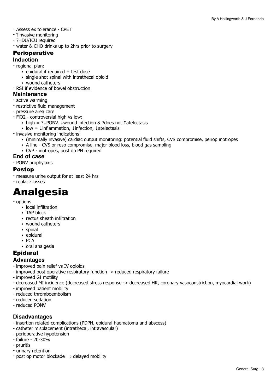- Assess ex tolerance CPET
- ?invasive monitoring
- ?HDU/ICU required
- water & CHO drinks up to 2hrs prior to surgery

### **Perioperative**

#### **Induction**

- regional plan:

- $\rightarrow$  epidural if required + test dose
- ‣ single shot spinal with intrathecal opioid
- ‣ wound catheters
- RSI if evidence of bowel obstruction

#### **Maintenance**

- active warming
- restrictive fluid management
- pressure area care
- FiO2 controversial high vs low:
	- ‣ high = ?↓PONV, ↓wound infection & ?does not ↑atelectasis
	- ‣ low = ↓inflammation, ↓infection, ↓atelectasis
- invasive monitoring indications:
	- ‣ (minimally invasive) cardiac output monitoring: potential fluid shifts, CVS compromise, periop inotropes
	- ‣ A line CVS or resp compromise, major blood loss, blood gas sampling
	- ‣ CVP inotropes, post op PN required

#### **End of case**

- PONV prophylaxis

#### Postop

- measure urine output for at least 24 hrs
- replace losses

## <span id="page-2-0"></span>Analgesia

- options
	- ‣ local infiltration
	- ‣ TAP block
	- ‣ rectus sheath infiltration
	- ‣ wound catheters
	- ‣ spinal
	- ‣ epidural
	- ‣ PCA
	- ‣ oral analgesia

## Epidural

#### **Advantages**

- improved pain relief vs IV opioids
- improved post operative respiratory function -> reduced respiratory failure
- improved GI motility
- decreased MI incidence (decreased stress response -> decreased HR, coronary vasoconstriction, myocardial work)
- improved patient mobility
- reduced thromboembolism
- reduced sedation
- reduced PONV

## **Disadvantages**

- insertion related complications (PDPH, epidural haematoma and abscess)
- catheter misplacement (intrathecal, intravascular)
- perioperative hypotension
- failure 20-30%
- pruritis
- urinary retention
- post op motor blockade  $\Rightarrow$  delayed mobility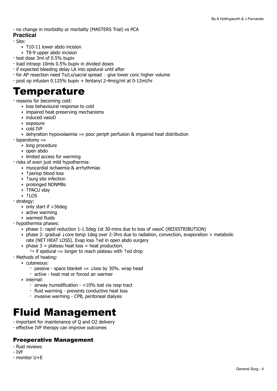- no change in morbidity or mortality (MASTERS Trial) vs PCA

### **Practical**

- Site:
	- $\triangleright$  T10-11 lower abdo incision
	- ‣ T8-9 upper abdo incision
- test dose 3ml of 0.5% bupiv
- load intraop 10mls 0.5% bupiv in divided doses
- if expected bleeding delay LA into epidural until after
- for AP resection need Tx/Lx/sacral spread ∴ give lower conc higher volume
- post op infusion 0.125% bupiv + fentanyl 2-4mcg/ml at 0-12ml/hr

## <span id="page-3-0"></span>Temperature

- reasons for becoming cold:
	- ‣ loss behavioural response to cold
	- $\rightarrow$  impaired heat preserving mechanisms
	- ‣ induced vasoD
	- ‣ exposure
	- ‣ cold IVF
	- $\rightarrow$  dehyration hypovolaemia  $\Rightarrow$  poor periph perfusion & impaired heat distribution
- $-$  laparotomy  $\Rightarrow$ 
	- ‣ long procedure
	- ‣ open abdo
	- $\rightarrow$  limited access for warming
- risks of even just mild hypothermia:
	- ‣ myocardial ischaemia & arrhythmias
		- ‣ ↑periop blood loss
		- ‣ ↑surg site infection
		- ‣ prolonged NDNMBs
		- ‣ ↑PACU stay
- ‣ ↑LOS - strategy:
	- ‣ only start if >36deg
	- ‣ active warming
	- ‣ warmed fluids
- hypothermia phases:
	- ‣ phase 1: rapid reduction 1-1.5deg 1st 30-mins due to loss of vasoC (REDISTRIBUTION)
	- ‣ phase 2: gradual ↓core temp 1deg over 2-3hrs due to radiation, convection, evaporation > metabolic rate (NET HEAT LOSS). Evap loss ↑ed in open abdo surgery
	- $\rightarrow$  phase 3 = plateau heat loss = heat production.
	- $\rightarrow$  if epidural  $\rightarrow$  longer to reach plateau with  $\uparrow$  ed drop
- Methods of heating:
	- ‣ cutaneous:
		- passive space blanket  $\Rightarrow$   $\downarrow$  loss by 30%. wrap head
		- active heat mat or forced air warmer
	- ‣ internal:
		- airway humidification <10% lost via resp tract
		- fluid warming prevents conductive heat loss
		- invasive warming CPB, peritoneal dialysis

## <span id="page-3-1"></span>Fluid Management

- important for maintenance of Q and O2 delivery
- effective IVF therapy can improve outcomes

## Preoperative Management

- fluid reviews
- IVF
- monitor U+E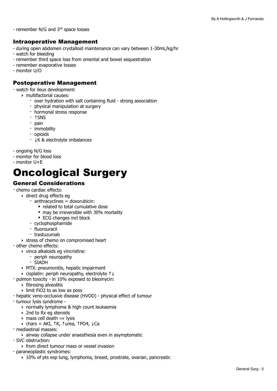- remember N/G and 3rd space losses

#### Intraoperative Management

- during open abdomen crystalloid maintenance can vary between 1-30mL/kg/hr
- watch for bleeding
- remember third space loss from omental and bowel sequestration
- remember evaporative losses
- monitor U/O

#### Postoperative Management

- watch for ileus development:
	- ‣ multifactorial causes:
		- over hydration with salt containing fluid strong association
		- physical manipulation at surgery
		- hormonal stress response
		- ↑SNS
		- pain
		- immobility
		- opioids
		- ↓K & electrolyte imbalances
- ongoing N/G loss
- monitor for blood loss
- monitor U+E

## <span id="page-4-0"></span>Oncological Surgery

## General Considerations

- chemo cardiac effects:
	- ‣ direct drug effects eg
		- anthracyclines = doxorubicin:
			- related to total cumulative dose
			- may be irreversible with 30% mortality
			- ECG changes incl block
		- cyclophosphamide
		- fluorouracil
		- trastuzumab
	- ‣ stress of chemo on compromised heart
- other chemo effects:
	- ‣ vinca alkaloids eg vincristine:
		- periph neuropathy
			- SIADH
	- ‣ MTX: pneumonitis, hepatic impairment
	- ‣ cisplatin: periph neuropathy, electrolyte ↑↓
- pulmon toxicity in 10% exposed to bleomycin:
	- ‣ fibrosing alveolitis
	- ‣ limit FiO2 to as low as poss
- hepatic veno-occlusive disease (HVOD) physical effect of tumour
- tumour lysis syndrome
	- ‣ normally lymphoma & high count leukaemia
	- ‣ 2nd to Rx eg steroids
	- $\rightarrow$  mass cell death  $\rightarrow$  lysis
	- ‣ chars = AKI, ↑K, ↑urea, ↑PO4, ↓Ca
- mediastinal masses:
	- ‣ airway collapse under anaesthesia even in asymptomatic
- SVC obstruction:
	- ‣ from direct tumour mass or vessel invasion
- paraneoplastic syndromes:
	- ‣ 10% of pts esp lung, lymphoma, breast, prostrate, ovarian, pancreatic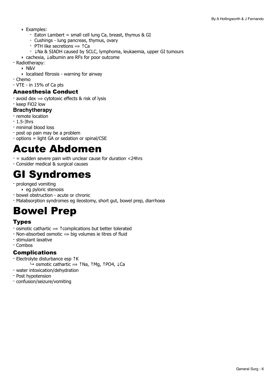- ‣ Examples:
	- Eaton Lambert = small cell lung Ca, breast, thymus & GI
	- Cushings lung pancreas, thymus, ovary
	- PTH like secretions ⟹ ↑Ca
	- ↓Na & SIADH caused by SCLC, lymphoma, leukaemia, upper GI tumours
- ‣ cachexia, ↓albumin are RFs for poor outcome
- Radiotherapy:
	- ‣ N&V
	- $\rightarrow$  localised fibrosis warning for airway

- Chemo

- VTE - in 15% of Ca pts

### Anaesthesia Conduct

- avoid dex  $\Rightarrow$  cytotoxic effects & risk of lysis
- keep FiO2 low

## **Brachytherapy**

- remote location
- 1.5-3hrs
- minimal blood loss
- post op pain may be a problem
- options = light GA or sedation or spinal/CSE

## <span id="page-5-0"></span>Acute Abdomen

- $-$  = sudden severe pain with unclear cause for duration  $<$ 24hrs
- Consider medical & surgical causes

## <span id="page-5-1"></span>GI Syndromes

- prolonged vomiting
	- ‣ eg pyloric stenosis
- bowel obstruction acute or chronic
- Malabsorption syndromes eg ileostomy, short gut, bowel prep, diarrhoea

## <span id="page-5-2"></span>Bowel Prep

### Types

- osmotic cathartic ⟹ ↑complications but better tolerated
- Non-absorbed osmotic  $\Rightarrow$  big volumes ie litres of fluid
- stimulant laxative
- Combos

#### Complications

- Electrolyte disturbance esp ↑K ↳ osmotic cathartic ⟹ ↑Na, ↑Mg, ↑PO4, ↓Ca
- water intoxication/dehydration
- Post hypotension
- confusion/seizure/vomiting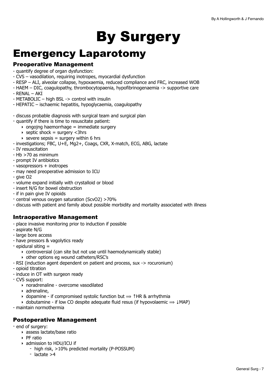# <span id="page-6-0"></span>By Surgery

## <span id="page-6-1"></span>Emergency Laparotomy

## Preoperative Management

- quantify degree of organ dysfunction:
- CVS vasodilation, requiring inotropes, myocardial dysfunction
- RESP ALI, alveolar collapse, hypoxaemia, reduced compliance and FRC, increased WOB
- HAEM DIC, coagulopathy, thrombocytopaenia, hypofibrinogenaemia -> supportive care
- RENAL AKI
- METABOLIC high BSL -> control with insulin
- HEPATIC ischaemic hepatitis, hypoglycaemia, coagulopathy
- discuss probable diagnosis with surgical team and surgical plan
- quantify if there is time to resuscitate patient:
	- $\rightarrow$  ongojng haemorrhage = immediate surgery
	- $\rightarrow$  septic shock = surgery <3hrs
	- $\rightarrow$  severe sepsis = surgery within 6 hrs
- investigations; FBC, U+E, Mg2+, Coags, CXR, X-match, ECG, ABG, lactate
- IV resuscitation
- Hb >70 as minimum
- prompt IV antibiotics
- vasopressors + inotropes
- may need preoperative admission to ICU
- give O<sub>2</sub>
- volume expand initially with crystalloid or blood
- insert N/G for bowel obstruction
- if in pain give IV opioids
- central venous oxygen saturation (ScvO2) >70%
- discuss with patient and family about possible morbidity and mortality associated with illness

### Intraoperative Management

- place invasive monitoring prior to induction if possible
- aspirate N/G
- large bore access
- have pressors & vagolytics ready
- epidural siting =
	- ‣ controversial (can site but not use until haemodynamically stable)
	- ‣ other options eg wound catheters/RSC's
- RSI (induction agent dependent on patient and process, sux -> rocuronium)
- opioid titration
- induce in OT with surgeon ready
- CVS support:
	- ‣ noradrenaline overcome vasodilated
	- ‣ adrenaline,
	- $\rightarrow$  dopamine if compromised systolic function but  $\Rightarrow$  ↑HR & arrhythmia
	- $\rightarrow$  dobutamine if low CO despite adequate fluid resus (if hypovolaemic  $\rightarrow \downarrow$ MAP)
- maintain normothermia

### Postoperative Management

- end of surgery:
	- ‣ assess lactate/base ratio
	- ‣ PF ratio
	- ‣ admission to HDU/ICU if
		- high risk, >10% predicted mortality (P-POSSUM)
		- lactate >4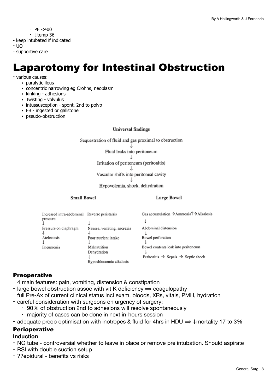- $-$  PF  $<$ 400
- ↓temp 36
- keep intubated if indicated
- $-110$
- supportive care

## <span id="page-7-0"></span>Laparotomy for Intestinal Obstruction

- various causes:
	- ‣ paralytic ileus
	- ‣ concentric narrowing eg Crohns, neoplasm
	- ‣ kinking adhesions
	- ‣ Twisting volvulus
	- ‣ intussusception spont, 2nd to polyp
	- $\triangleright$  FB ingested or gallstone
	- ‣ pseudo-obstruction

#### **Universal findings**

```
Sequestration of fluid and gas proximal to obstruction
     Fluid leaks into peritoneum
 Irritation of peritoneum (peritonitis)
Vascular shifts into peritoneal cavity
                  T
  Hypovolemia, shock, dehydration
```
#### **Small Bowel**

#### **Large Bowel**

| Increased intra-abdominal Reverse peristalsis |                            | Gas accumulation $\rightarrow$ Ammonia $\uparrow \rightarrow$ Alkalosis |
|-----------------------------------------------|----------------------------|-------------------------------------------------------------------------|
| pressure                                      |                            |                                                                         |
|                                               |                            |                                                                         |
| Pressure on diaphragm                         | Nausea, vomiting, anorexia | Abdominal distension                                                    |
|                                               |                            |                                                                         |
| Atelectasis                                   | Poor nutrient intake       | Bowel perforation                                                       |
|                                               |                            |                                                                         |
| Pneumonia                                     | Malnutrition               | Bowel contents leak into peritoneum                                     |
|                                               | Dehydration                |                                                                         |
|                                               |                            | Peritonitis $\rightarrow$ Sepsis $\rightarrow$ Septic shock             |
|                                               | Hypochloraemic alkalosis   |                                                                         |

## **Preoperative**

- 4 main features: pain, vomiting, distension & constipation
- large bowel obstruction assoc with vit K deficiency  $\Rightarrow$  coagulopathy
- full Pre-Ax of current clinical status incl exam, bloods, XRs, vitals, PMH, hydration
- careful consideration with surgeons on urgency of surgery:
	- ‣ 90% of obstruction 2nd to adhesions will resolve spontaneously
	- ‣ majority of cases can be done in next in-hours session
- adequate preop optimisation with inotropes & fluid for 4hrs in HDU  $\Rightarrow$  4 mortality 17 to 3%

### **Perioperative**

### **Induction**

- NG tube controversial whether to leave in place or remove pre intubation. Should aspirate
- RSI with double suction setup
- ??epidural benefits vs risks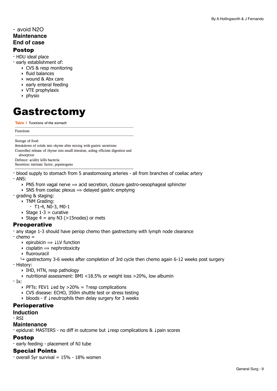## - avoid N2O **Maintenance End of case**

### Postop

- HDU ideal place
- early establishment of:
	- ‣ CVS & resp monitoring
	- ‣ fluid balances
	- ‣ wound & Abx care
	- $\rightarrow$  early enteral feeding
	- ‣ VTE prophylaxis
	- ‣ physio

## <span id="page-8-0"></span>**Gastrectomy**

Table | Functions of the stomach

**Functions** 

Storage of food

Breakdown of solids into chyme after mixing with gastric secretions

Controlled release of chyme into small intestine, aiding efficient digestion and

absorption

Defence: acidity kills bacteria Secretion: intrinsic factor, pepsinogens

- blood supply to stomach from 5 anastomosing arteries - all from branches of coeliac artery - ANS:

- $\triangleright$  PNS from vagal nerve  $\Rightarrow$  acid secretion, closure gastro-oesophageal sphincter
- $\rightarrow$  SNS from coeliac plexus  $\rightarrow$  delayed gastric emptying

- grading & staging:

‣ TNM Grading:

- T1-4, N0-3, M0-1
- $\triangleright$  Stage 1-3 = curative
- $\rightarrow$  Stage 4 = any N3 (>15nodes) or mets

### **Preoperative**

- any stage 1-3 should have periop chemo then gastrectomy with lymph node clearance - chemo =

- $\rightarrow$  epirubicin  $\rightarrow$  ILV function
- $\rightarrow$  cisplatin  $\rightarrow$  nephrotoxicity
- ‣ fluorouracil

 $→$  gastrectomy 3-6 weeks after completion of 3rd cycle then chemo again 6-12 weeks post surgery

- History:

- ‣ IHD, HTN, resp pathology
- ‣ nutritional assessment: BMI <18.5% or weight loss >20%, low albumin

 $-Lx$ :

- ‣ PFTs: FEV1 ↓ed by >20% = ↑resp complications
- ‣ CVS disease: ECHO, 350m shuttle test or stress testing
- ‣ bloods if ↓neutrophils then delay surgery for 3 weeks

### **Perioperative**

**Induction**

- RSI

#### **Maintenance**

- epidural: MASTERS - no diff in outcome but ↓resp complications & ↓pain scores

## Postop

- early feeding - placement of NJ tube

### Special Points

- overall 5yr survival  $= 15\%$  - 18% women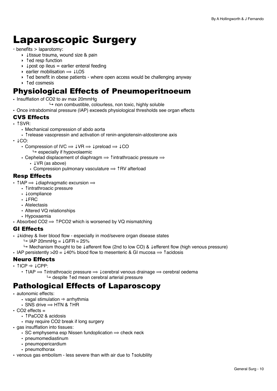## <span id="page-9-0"></span>Laparoscopic Surgery

- benefits > laparotomy:

- ‣ ↓tissue trauma, wound size & pain
- ‣ ↑ed resp function
- ‣ ↓post op ileus = earlier enteral feeding
- $\rightarrow$  earlier mobilisation  $\rightarrow$  +LOS
- ▶ 1ed benefit in obese patients where open access would be challenging anyway
- ‣ ↑ed cosmesis

## Physiological Effects of Pneumoperitnoeum

- Insufflation of CO2 to av max 20mmHg
	- $\mapsto$  non combustible, colourless, non toxic, highly soluble
- Once intrabdominal pressure (IAP) exceeds physiological thresholds see organ effects

## CVS Effects

- ↑SVR:
	- Mechanical compression of abdo aorta
	- Trelease vasopressin and activation of renin-angiotensin-aldosterone axis
- **LCO:** 
	- Compression of IVC  $\Rightarrow$   $\downarrow$ VR  $\Rightarrow$   $\downarrow$  preload  $\Rightarrow$   $\downarrow$ CO
	- $ightharpoonup$  especially if hypovolaemic
	- Cephelad displacement of diaphragm  $\Rightarrow$  † intrathroacic pressure  $\Rightarrow$ 
		- ↓VR (as above)
		- Compression pulmonary vasculature  $\Rightarrow$   $\uparrow$  RV afterload

## Resp Effects

- $1AP \Rightarrow \downarrow$  diaphragmatic excursion  $\Rightarrow$ 
	- Tintrathroacic pressure
	- ↓compliance
	- ↓FRC
	- Atelectasis
	- Altered VQ relationships
	- Hypoxaemia

• Absorbed CO2  $\Rightarrow$  1 PCO2 which is worsened by VQ mismatching

### GI Effects

- ↓kidney & liver blood flow especially in mod/severe organ disease states
	- $\rightarrow$  IAP 20mmHg =  $\downarrow$ GFR ≈ 25%
	- ↳ Mechanism thought to be ↓afferent flow (2nd to low CO) & ↓efferent flow (high venous pressure)
- IAP persistently >20 =  $\downarrow$ 40% blood flow to mesenteric & GI mucosa  $\Rightarrow$  1 acidosis

### Neuro Effects

- $\cdot$   $\uparrow$  ICPP:
	- $\uparrow$  IAP  $\Rightarrow$   $\uparrow$  intrathroacic pressure  $\Rightarrow$   $\downarrow$  cerebral venous drainage  $\Rightarrow$  cerebral oedema ↳ despite ↑ed mean cerebral arterial pressure

## Pathological Effects of Laparoscopy

- autonomic effects:
	- vagal stimulation  $\Rightarrow$  arrhythmia
	- $\cdot$  SNS drive  $\Rightarrow$  HTN & THR
- CO2 effects =
	- ↑PaCO2 & acidosis
	- may require CO2 break if long surgery
- gas insufflation into tissues:
	- SC emphysema esp Nissen fundoplication  $\Rightarrow$  check neck
	- pneumomediastinum
	- pneumopericardium
	- pneumothorax
- venous gas embolism less severe than with air due to ↑solubility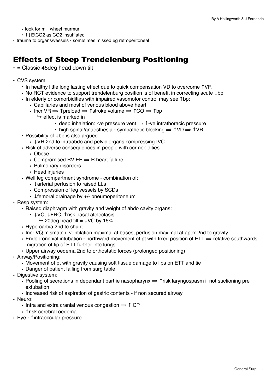- look for mill wheel murmur
- ↑↓EtCO2 as CO2 insufflated
- trauma to organs/vessels sometimes missed eg retroperitoneal

## Effects of Steep Trendelenburg Positioning

- $\cdot$  = Classic 45deg head down tilt
- CVS system
	- In healthy little long lasting effect due to quick compensation VD to overcome ↑VR
	- No RCT evidence to support trendelenburg position is of benefit in correcting acute ↓bp
	- In elderly or comorbidities with impaired vasomotor control may see 1bp:
		- Capillaries and most of venous blood above heart
		- Incr VR  $\Rightarrow$  1 preload  $\Rightarrow$  1 stroke volume  $\Rightarrow$  1 CO  $\Rightarrow$  1 bp
			- $ightharpoonup$  effect is marked in
				- deep inhalation: -ve pressure vent  $\Rightarrow$   $\uparrow$ -ve intrathoracic pressure
				- high spinal/anaesthesia sympathetic blocking  $\Rightarrow$   $\uparrow$  VD  $\Rightarrow$   $\uparrow$  VR
	- Possibility of ↓bp is also argued:
		- ↓VR 2nd to intraabdo and pelvic organs compressing IVC
	- Risk of adverse consequences in people with cormobidities:
		- Obese
		- Compromised RV EF  $\Rightarrow$  R heart failure
		- Pulmonary disorders
		- Head injuries
	- Well leg compartment syndrome combination of:
		- ↓arterial perfusion to raised LLs
		- Compression of leg vessels by SCDs
		- ↓femoral drainage by +/- pneumoperitoneum
- Resp system:
	- Raised diaphragm with gravity and weight of abdo cavity organs:
		- ↓VC, ↓FRC, ↑risk basal atelectasis
			- $\rightarrow$  20deg head tilt = ↓VC by 15%
	- Hypercarbia 2nd to shunt
	- Incr VQ mismatch: ventilation maximal at bases, perfusion maximal at apex 2nd to gravity
	- Endobronchial intubation northward movement of pt with fixed position of  $ETT \implies$  relative southwards migration of tip of ETT further into lungs
	- Upper airway oedema 2nd to orthostatic forces (prolonged positioning)
- Airway/Positioning:
	- Movement of pt with gravity causing soft tissue damage to lips on ETT and tie
	- Danger of patient falling from surg table
- Digestive system:
	- Pooling of secretions in dependant part ie nasopharynx  $\Rightarrow$  ↑risk laryngospasm if not suctioning pre extubation
	- Increased risk of aspiration of gastric contents if non secured airway
- Neuro:
	- Intra and extra cranial venous congestion  $\Rightarrow$   $\uparrow$  ICP
	- Trisk cerebral oedema
- Eye ↑intraoccular pressure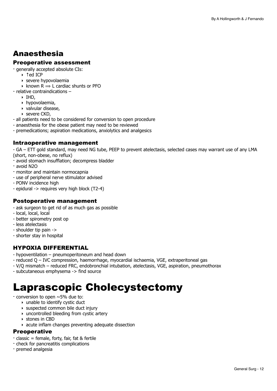## Anaesthesia

## Preoperative assessment

- generally accepted absolute CIs:
	- ‣ ↑ed ICP
	- ‣ severe hypovolaemia
	- $\triangleright$  known  $R \implies L$  cardiac shunts or PFO
- relative contraindications
	- ‣ IHD,
	- ‣ hypovolaemia,
	- ‣ valvular disease,
	- ‣ severe CKD,
- all patients need to be considered for conversion to open procedure
- anaesthesia for the obese patient may need to be reviewed
- premedications; aspiration medications, anxiolytics and analgesics

## Intraoperative management

- GA – ETT gold standard, may need NG tube, PEEP to prevent atelectasis, selected cases may warrant use of any LMA (short, non-obese, no reflux)

- avoid stomach insufflation; decompress bladder
- avoid N2O
- monitor and maintain normocapnia
- use of peripheral nerve stimulator advised
- PONV incidence high
- epidural -> requires very high block (T2-4)

### Postoperative management

- ask surgeon to get rid of as much gas as possible
- local, local, local
- better spirometry post op
- less atelectasis
- shoulder tip pain ->
- shorter stay in hospital

## HYPOXIA DIFFERENTIAL

- hypoventilation pneumoperitoneum and head down
- reduced Q IVC compression, haemorrhage, myocardial ischaemia, VGE, extraperitoneal gas
- V/Q mismatch reduced FRC, endobronchial intubation, atelectasis, VGE, aspiration, pneumothorax
- subcutaneous emphysema -> find source

## <span id="page-11-0"></span>Laprascopic Cholecystectomy

- conversion to open ~5% due to:
	- $\rightarrow$  unable to identify cystic duct
	- ‣ suspected common bile duct injury
	- ‣ uncontrolled bleeding from cystic artery
	- ‣ stones in CBD
	- ‣ acute inflam changes preventing adequate dissection

#### **Preoperative**

- classic = female, forty, fair, fat & fertile
- check for pancreatitis complications
- premed analgesia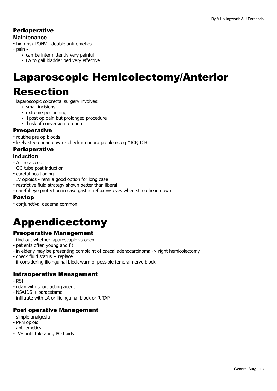## **Perioperative**

#### **Maintenance**

- high risk PONV - double anti-emetics - pain -

- $\rightarrow$  can be intermittently very painful
- ‣ LA to gall bladder bed very effective

# <span id="page-12-0"></span>Laparoscopic Hemicolectomy/Anterior

## Resection

- laparoscopic colorectal surgery involves:

- $\triangleright$  small incisions
- ‣ extreme positioning
- ‣ ↓post op pain but prolonged procedure
- ‣ ↑risk of conversion to open

#### **Preoperative**

- routine pre op bloods
- likely steep head down check no neuro problems eg ↑ICP, ICH

## Perioperative

#### **Induction**

- A line asleep
- OG tube post induction
- careful positioning
- IV opioids remi a good option for long case
- restrictive fluid strategy shown better than liberal
- careful eye protection in case gastric reflux  $\Rightarrow$  eyes when steep head down

### Postop

- conjunctival oedema common

## <span id="page-12-1"></span>Appendicectomy

## Preoperative Management

- find out whether laparoscopic vs open
- patients often young and fit
- in elderly may be presenting complaint of caecal adenocarcinoma -> right hemicolectomy
- check fluid status + replace
- if considering ilioinguinal block warn of possible femoral nerve block

## Intraoperative Management

- RSI
- relax with short acting agent
- NSAIDS + paracetamol
- infiltrate with LA or ilioinguinal block or R TAP

### Post operative Management

- simple analgesia
- PRN opioid
- anti-emetics
- IVF until tolerating PO fluids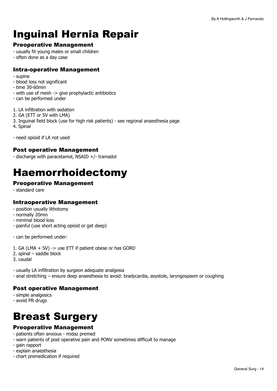## <span id="page-13-0"></span>Inguinal Hernia Repair

## Preoperative Management

- usually fit young males or small children
- often done as a day case

## Intra-operative Management

- supine
- blood loss not significant
- time 30-60min
- with use of mesh -> give prophylactic antibiotics
- can be performed under
- 1. LA infiltration with sedation
- 2. GA (ETT or SV with LMA)
- 3. Inguinal field block (use for high risk patients) see regional anaesthesia page
- 4. Spinal
- need opioid if LA not used

## Post operative Management

- discharge with paracetamol, NSAID +/- tramadol

## <span id="page-13-1"></span>Haemorrhoidectomy

## Preoperative Management

- standard care

### Intraoperative Management

- position usually lithotomy
- normally 20min
- minimal blood loss
- painful (use short acting opioid or get deep)
- can be performed under:
- 1. GA (LMA + SV) -> use ETT if patient obese or has GORD
- 2. spinal saddle block
- 3. caudal
- usually LA infiltration by surgeon adequate analgesia
- anal stretching ensure deep anaesthesia to avoid: bradycardia, asystole, laryngospasm or coughing

## Post operative Management

- simple analgesics
- avoid PR drugs

## <span id="page-13-2"></span>Breast Surgery

## Preoperative Management

- patients often anxious midaz premed
- warn patients of post operative pain and PONV sometimes difficult to manage
- gain rapport
- explain anaesthesia
- chart premedication if required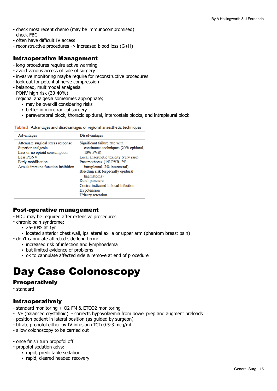- check most recent chemo (may be immunocompromised)
- check FBC
- often have difficult IV access
- reconstructive procedures -> increased blood loss (G+H)

#### Intraoperative Management

- long procedures require active warming
- avoid venous access of side of surgery
- invasive monitoring maybe require for reconstructive procedures
- look out for potential nerve compression
- balanced, multimodal analgesia
- PONV high risk (30-40%)
- regional analgesia sometimes appropriate;
	- ‣ may be overkill considering risks
	- ‣ better in more radical surgery
	- ‣ paravertebral block, thoracic epidural, intercostals blocks, and intrapleural block

#### Table 3 Advantages and disadvantages of regional anaesthetic techniques

| Significant failure rate with<br>Attenuate surgical stress response                                                                                                                                                                                                                                                                     | Advantages         | Disadvantages                                                                  |
|-----------------------------------------------------------------------------------------------------------------------------------------------------------------------------------------------------------------------------------------------------------------------------------------------------------------------------------------|--------------------|--------------------------------------------------------------------------------|
| Less or no opioid consumption<br>10% PVB)<br><b>Less PONV</b><br>Pneumothorax (1% PVB, 2%)<br>Early mobilisation<br>Avoids immune function inhibition<br>intrapleural, 2% intercostal)<br>Bleeding risk (especially epidural<br>haematoma)<br>Dural puncture<br>Contra-indicated in local infection<br>Hypotension<br>Urinary retention | Superior analgesia | continuous techniques (20% epidural,<br>Local anaesthetic toxicity (very rare) |

### Post-operative management

- HDU may be required after extensive procedures
- chronic pain syndrome:
	- ‣ 25-30% at 1yr
	- ‣ located anterior chest wall, ipsilateral axilla or upper arm (phantom breast pain)
- don't cannulate affected side long term:
	- ‣ increased risk of infection and lymphoedema
	- ‣ but limited evidence of problems
	- ‣ ok to cannulate affected side & remove at end of procedure

## <span id="page-14-0"></span>Day Case Colonoscopy

#### **Preoperatively**

- standard

#### Intraoperatively

- standard monitoring + O2 FM & ETCO2 monitoring
- IVF (balanced crystalloid) corrects hypovolaemia from bowel prep and augment preloads
- position patient in lateral position (as guided by surgeon)
- titrate propofol either by IV infusion (TCI) 0.5-3 mcg/mL
- allow colonoscopy to be carried out

#### - once finish turn propofol off

- propofol sedation advs:
	- ‣ rapid, predictable sedation
	- ‣ rapid, cleared headed recovery